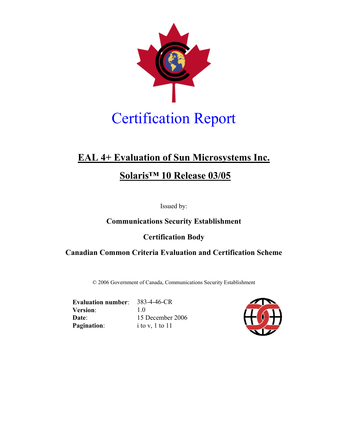

# **EAL 4+ Evaluation of Sun Microsystems Inc.**

# **Solaris™ 10 Release 03/05**

Issued by:

# **Communications Security Establishment**

# **Certification Body**

## **Canadian Common Criteria Evaluation and Certification Scheme**

© 2006 Government of Canada, Communications Security Establishment

**Evaluation number**: 383-4-46-CR **Version**: 1.0 **Date**: 15 December 2006 **Pagination:** i to v, 1 to 11

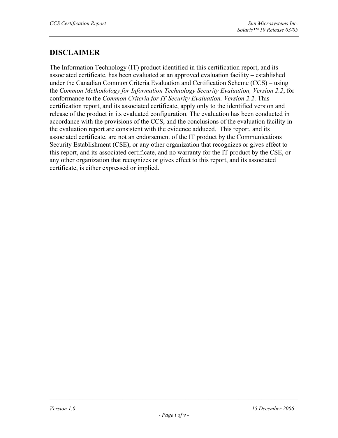# **DISCLAIMER**

The Information Technology (IT) product identified in this certification report, and its associated certificate, has been evaluated at an approved evaluation facility – established under the Canadian Common Criteria Evaluation and Certification Scheme (CCS) – using the *Common Methodology for Information Technology Security Evaluation, Version 2.2*, for conformance to the *Common Criteria for IT Security Evaluation, Version 2.2*. This certification report, and its associated certificate, apply only to the identified version and release of the product in its evaluated configuration. The evaluation has been conducted in accordance with the provisions of the CCS, and the conclusions of the evaluation facility in the evaluation report are consistent with the evidence adduced. This report, and its associated certificate, are not an endorsement of the IT product by the Communications Security Establishment (CSE), or any other organization that recognizes or gives effect to this report, and its associated certificate, and no warranty for the IT product by the CSE, or any other organization that recognizes or gives effect to this report, and its associated certificate, is either expressed or implied.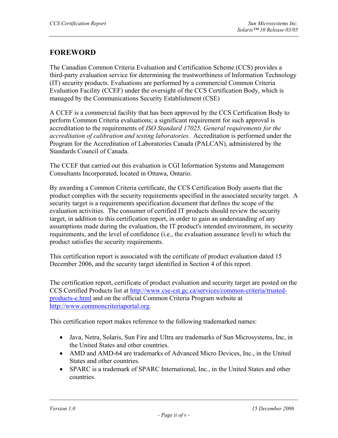# **FOREWORD**

The Canadian Common Criteria Evaluation and Certification Scheme (CCS) provides a third-party evaluation service for determining the trustworthiness of Information Technology (IT) security products. Evaluations are performed by a commercial Common Criteria Evaluation Facility (CCEF) under the oversight of the CCS Certification Body, which is managed by the Communications Security Establishment (CSE)

A CCEF is a commercial facility that has been approved by the CCS Certification Body to perform Common Criteria evaluations; a significant requirement for such approval is accreditation to the requirements of *ISO Standard 17025, General requirements for the accreditation of calibration and testing laboratories*. Accreditation is performed under the Program for the Accreditation of Laboratories Canada (PALCAN), administered by the Standards Council of Canada.

The CCEF that carried out this evaluation is CGI Information Systems and Management Consultants Incorporated, located in Ottawa, Ontario.

By awarding a Common Criteria certificate, the CCS Certification Body asserts that the product complies with the security requirements specified in the associated security target. A security target is a requirements specification document that defines the scope of the evaluation activities. The consumer of certified IT products should review the security target, in addition to this certification report, in order to gain an understanding of any assumptions made during the evaluation, the IT product's intended environment, its security requirements, and the level of confidence (i.e., the evaluation assurance level) to which the product satisfies the security requirements.

This certification report is associated with the certificate of product evaluation dated 15 December 2006, and the security target identified in Section 4 of this report.

The certification report, certificate of product evaluation and security target are posted on the CCS Certified Products list at http://www.cse-cst.gc.ca/services/common-criteria/trustedproducts-e.html and on the official Common Criteria Program website at http://www.commoncriteriaportal.org.

This certification report makes reference to the following trademarked names:

- Java, Netra, Solaris, Sun Fire and Ultra are trademarks of Sun Microsystems, Inc, in the United States and other countries.
- AMD and AMD-64 are trademarks of Advanced Micro Devices, Inc., in the United States and other countries.
- SPARC is a trademark of SPARC International, Inc., in the United States and other countries.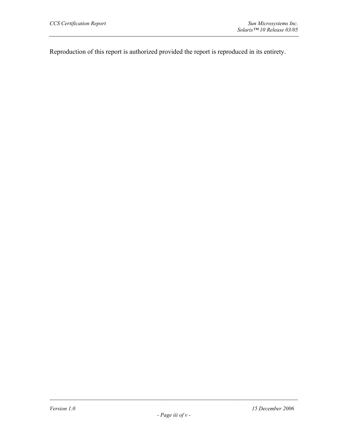Reproduction of this report is authorized provided the report is reproduced in its entirety.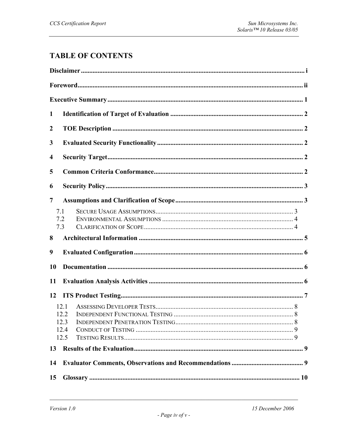# **TABLE OF CONTENTS**

| $\mathbf{1}$            |                              |  |  |  |  |
|-------------------------|------------------------------|--|--|--|--|
| $\boldsymbol{2}$        |                              |  |  |  |  |
| 3                       |                              |  |  |  |  |
| $\overline{\mathbf{4}}$ |                              |  |  |  |  |
| 5                       |                              |  |  |  |  |
| 6                       |                              |  |  |  |  |
| 7                       |                              |  |  |  |  |
| 7.1                     | 7.2<br>7.3                   |  |  |  |  |
| 8                       |                              |  |  |  |  |
| 9                       |                              |  |  |  |  |
| 10                      |                              |  |  |  |  |
| 11                      |                              |  |  |  |  |
| 12                      |                              |  |  |  |  |
|                         | 12.1<br>12.3<br>12.4<br>12.5 |  |  |  |  |
| 13                      |                              |  |  |  |  |
| 14                      |                              |  |  |  |  |
| 15                      |                              |  |  |  |  |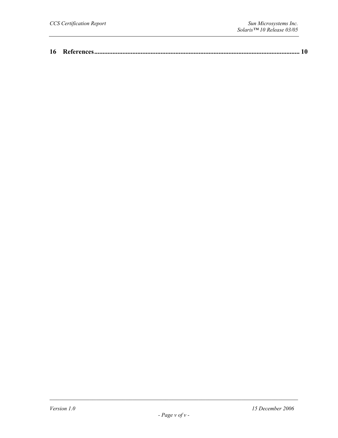|--|--|--|--|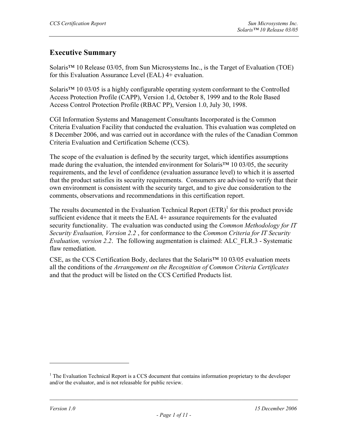# **Executive Summary**

Solaris™ 10 Release 03/05, from Sun Microsystems Inc., is the Target of Evaluation (TOE) for this Evaluation Assurance Level (EAL) 4+ evaluation.

Solaris™ 10 03/05 is a highly configurable operating system conformant to the Controlled Access Protection Profile (CAPP), Version 1.d, October 8, 1999 and to the Role Based Access Control Protection Profile (RBAC PP), Version 1.0, July 30, 1998.

CGI Information Systems and Management Consultants Incorporated is the Common Criteria Evaluation Facility that conducted the evaluation. This evaluation was completed on 8 December 2006, and was carried out in accordance with the rules of the Canadian Common Criteria Evaluation and Certification Scheme (CCS).

The scope of the evaluation is defined by the security target, which identifies assumptions made during the evaluation, the intended environment for Solaris™ 10 03/05, the security requirements, and the level of confidence (evaluation assurance level) to which it is asserted that the product satisfies its security requirements. Consumers are advised to verify that their own environment is consistent with the security target, and to give due consideration to the comments, observations and recommendations in this certification report.

The results documented in the Evaluation Technical Report  $(ETR)^1$  for this product provide sufficient evidence that it meets the EAL 4+ assurance requirements for the evaluated security functionality. The evaluation was conducted using the *Common Methodology for IT Security Evaluation, Version 2.2* , for conformance to the *Common Criteria for IT Security Evaluation, version 2.2*. The following augmentation is claimed: ALC\_FLR.3 - Systematic flaw remediation

CSE, as the CCS Certification Body, declares that the Solaris™ 10 03/05 evaluation meets all the conditions of the *Arrangement on the Recognition of Common Criteria Certificates* and that the product will be listed on the CCS Certified Products list.

 $\overline{a}$ 

 $<sup>1</sup>$  The Evaluation Technical Report is a CCS document that contains information proprietary to the developer</sup> and/or the evaluator, and is not releasable for public review.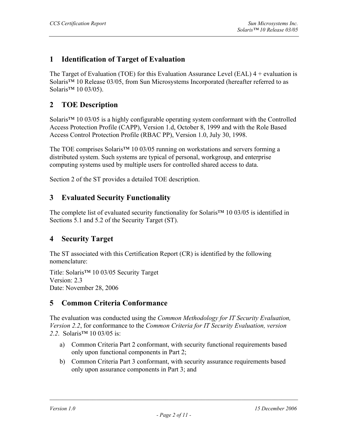# **1 Identification of Target of Evaluation**

The Target of Evaluation (TOE) for this Evaluation Assurance Level (EAL)  $4 +$  evaluation is Solaris™ 10 Release 03/05, from Sun Microsystems Incorporated (hereafter referred to as Solaris<sup>™</sup> 10 03/05).

## **2 TOE Description**

Solaris™ 10 03/05 is a highly configurable operating system conformant with the Controlled Access Protection Profile (CAPP), Version 1.d, October 8, 1999 and with the Role Based Access Control Protection Profile (RBAC PP), Version 1.0, July 30, 1998.

The TOE comprises Solaris™ 10 03/05 running on workstations and servers forming a distributed system. Such systems are typical of personal, workgroup, and enterprise computing systems used by multiple users for controlled shared access to data.

Section 2 of the ST provides a detailed TOE description.

### **3 Evaluated Security Functionality**

The complete list of evaluated security functionality for Solaris™ 10 03/05 is identified in Sections 5.1 and 5.2 of the Security Target (ST).

#### **4 Security Target**

The ST associated with this Certification Report (CR) is identified by the following nomenclature:

Title: Solaris™ 10 03/05 Security Target Version: 2.3 Date: November 28, 2006

## **5 Common Criteria Conformance**

The evaluation was conducted using the *Common Methodology for IT Security Evaluation, Version 2.2*, for conformance to the *Common Criteria for IT Security Evaluation, version*  2.2. Solaris<sup>™</sup> 10 03/05 is:

- a) Common Criteria Part 2 conformant, with security functional requirements based only upon functional components in Part 2;
- b) Common Criteria Part 3 conformant, with security assurance requirements based only upon assurance components in Part 3; and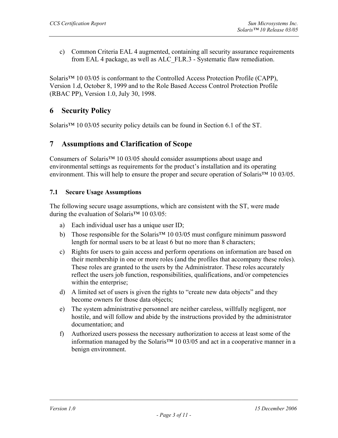c) Common Criteria EAL 4 augmented, containing all security assurance requirements from EAL 4 package, as well as ALC\_FLR.3 - Systematic flaw remediation.

Solaris™ 10 03/05 is conformant to the Controlled Access Protection Profile (CAPP), Version 1.d, October 8, 1999 and to the Role Based Access Control Protection Profile (RBAC PP), Version 1.0, July 30, 1998.

## **6 Security Policy**

Solaris™ 10 03/05 security policy details can be found in Section 6.1 of the ST.

## **7 Assumptions and Clarification of Scope**

Consumers of Solaris<sup>™</sup> 10 03/05 should consider assumptions about usage and environmental settings as requirements for the product's installation and its operating environment. This will help to ensure the proper and secure operation of Solaris™ 10 03/05.

#### **7.1 Secure Usage Assumptions**

The following secure usage assumptions, which are consistent with the ST, were made during the evaluation of Solaris<sup>™</sup> 10 03/05:

- a) Each individual user has a unique user ID;
- b) Those responsible for the Solaris™ 10 03/05 must configure minimum password length for normal users to be at least 6 but no more than 8 characters;
- c) Rights for users to gain access and perform operations on information are based on their membership in one or more roles (and the profiles that accompany these roles). These roles are granted to the users by the Administrator. These roles accurately reflect the users job function, responsibilities, qualifications, and/or competencies within the enterprise;
- d) A limited set of users is given the rights to "create new data objects" and they become owners for those data objects;
- e) The system administrative personnel are neither careless, willfully negligent, nor hostile, and will follow and abide by the instructions provided by the administrator documentation; and
- f) Authorized users possess the necessary authorization to access at least some of the information managed by the Solaris™ 10 03/05 and act in a cooperative manner in a benign environment.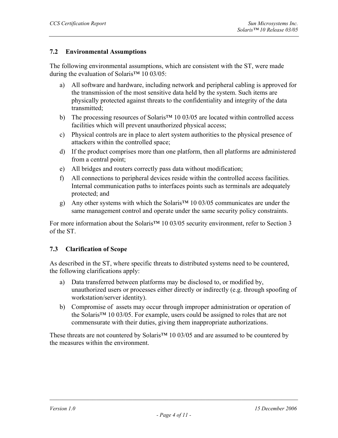#### **7.2 Environmental Assumptions**

The following environmental assumptions, which are consistent with the ST, were made during the evaluation of Solaris<sup>™</sup> 10 03/05:

- a) All software and hardware, including network and peripheral cabling is approved for the transmission of the most sensitive data held by the system. Such items are physically protected against threats to the confidentiality and integrity of the data transmitted;
- b) The processing resources of Solaris<sup>™</sup> 10 03/05 are located within controlled access facilities which will prevent unauthorized physical access;
- c) Physical controls are in place to alert system authorities to the physical presence of attackers within the controlled space;
- d) If the product comprises more than one platform, then all platforms are administered from a central point;
- e) All bridges and routers correctly pass data without modification;
- f) All connections to peripheral devices reside within the controlled access facilities. Internal communication paths to interfaces points such as terminals are adequately protected; and
- g) Any other systems with which the Solaris<sup>™</sup> 10 03/05 communicates are under the same management control and operate under the same security policy constraints.

For more information about the Solaris™ 10 03/05 security environment, refer to Section 3 of the ST.

#### **7.3 Clarification of Scope**

As described in the ST, where specific threats to distributed systems need to be countered, the following clarifications apply:

- a) Data transferred between platforms may be disclosed to, or modified by, unauthorized users or processes either directly or indirectly (e.g. through spoofing of workstation/server identity).
- b) Compromise of assets may occur through improper administration or operation of the Solaris™ 10 03/05. For example, users could be assigned to roles that are not commensurate with their duties, giving them inappropriate authorizations.

These threats are not countered by Solaris<sup>™</sup> 10 03/05 and are assumed to be countered by the measures within the environment.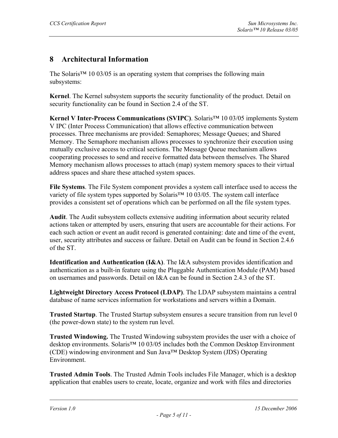# **8 Architectural Information**

The Solaris<sup>™</sup> 10 03/05 is an operating system that comprises the following main subsystems:

**Kernel**. The Kernel subsystem supports the security functionality of the product. Detail on security functionality can be found in Section 2.4 of the ST.

**Kernel V Inter-Process Communications (SVIPC)**. Solaris™ 10 03/05 implements System V IPC (Inter Process Communication) that allows effective communication between processes. Three mechanisms are provided: Semaphores; Message Queues; and Shared Memory. The Semaphore mechanism allows processes to synchronize their execution using mutually exclusive access to critical sections. The Message Queue mechanism allows cooperating processes to send and receive formatted data between themselves. The Shared Memory mechanism allows processes to attach (map) system memory spaces to their virtual address spaces and share these attached system spaces.

**File Systems**. The File System component provides a system call interface used to access the variety of file system types supported by Solaris™ 10 03/05. The system call interface provides a consistent set of operations which can be performed on all the file system types.

**Audit**. The Audit subsystem collects extensive auditing information about security related actions taken or attempted by users, ensuring that users are accountable for their actions. For each such action or event an audit record is generated containing: date and time of the event, user, security attributes and success or failure. Detail on Audit can be found in Section 2.4.6 of the ST.

**Identification and Authentication (I&A)**. The I&A subsystem provides identification and authentication as a built-in feature using the Pluggable Authentication Module (PAM) based on usernames and passwords. Detail on I&A can be found in Section 2.4.3 of the ST.

**Lightweight Directory Access Protocol (LDAP)**. The LDAP subsystem maintains a central database of name services information for workstations and servers within a Domain.

**Trusted Startup**. The Trusted Startup subsystem ensures a secure transition from run level 0 (the power-down state) to the system run level.

**Trusted Windowing.** The Trusted Windowing subsystem provides the user with a choice of desktop environments. Solaris<sup>™</sup> 10 03/05 includes both the Common Desktop Environment (CDE) windowing environment and Sun Java™ Desktop System (JDS) Operating Environment.

**Trusted Admin Tools**. The Trusted Admin Tools includes File Manager, which is a desktop application that enables users to create, locate, organize and work with files and directories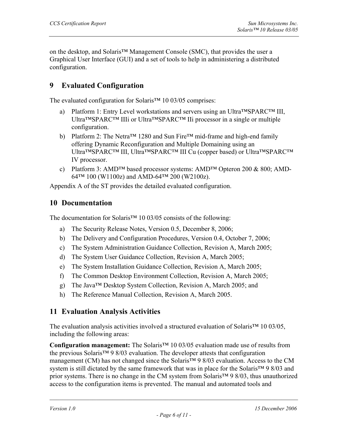on the desktop, and Solaris™ Management Console (SMC), that provides the user a Graphical User Interface (GUI) and a set of tools to help in administering a distributed configuration.

# **9 Evaluated Configuration**

The evaluated configuration for Solaris<sup>™</sup> 10 03/05 comprises:

- a) Platform 1: Entry Level workstations and servers using an Ultra™SPARC™ III, Ultra™SPARC™ IIIi or Ultra™SPARC™ IIi processor in a single or multiple configuration.
- b) Platform 2: The Netra<sup>™</sup> 1280 and Sun Fire<sup>™</sup> mid-frame and high-end family offering Dynamic Reconfiguration and Multiple Domaining using an Ultra™SPARC™ III, Ultra™SPARC™ III Cu (copper based) or Ultra™SPARC™ IV processor.
- c) Platform 3: AMD™ based processor systems: AMD™ Opteron 200 & 800; AMD-64™ 100 (W1100z) and AMD-64™ 200 (W2100z).

Appendix A of the ST provides the detailed evaluated configuration.

### **10 Documentation**

The documentation for Solaris<sup>™</sup> 10 03/05 consists of the following:

- a) The Security Release Notes, Version 0.5, December 8, 2006;
- b) The Delivery and Configuration Procedures, Version 0.4, October 7, 2006;
- c) The System Administration Guidance Collection, Revision A, March 2005;
- d) The System User Guidance Collection, Revision A, March 2005;
- e) The System Installation Guidance Collection, Revision A, March 2005;
- f) The Common Desktop Environment Collection, Revision A, March 2005;
- g) The Java™ Desktop System Collection, Revision A, March 2005; and
- h) The Reference Manual Collection, Revision A, March 2005.

## **11 Evaluation Analysis Activities**

The evaluation analysis activities involved a structured evaluation of Solaris<sup>™</sup> 10 03/05, including the following areas:

**Configuration management:** The Solaris™ 10 03/05 evaluation made use of results from the previous Solaris™ 9 8/03 evaluation. The developer attests that configuration management (CM) has not changed since the Solaris™ 9 8/03 evaluation. Access to the CM system is still dictated by the same framework that was in place for the Solaris™ 9 8/03 and prior systems. There is no change in the CM system from Solaris™ 9 8/03, thus unauthorized access to the configuration items is prevented. The manual and automated tools and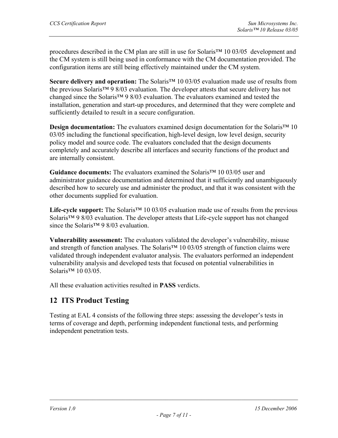procedures described in the CM plan are still in use for Solaris™ 10 03/05 development and the CM system is still being used in conformance with the CM documentation provided. The configuration items are still being effectively maintained under the CM system.

**Secure delivery and operation:** The Solaris™ 10 03/05 evaluation made use of results from the previous Solaris™ 9 8/03 evaluation. The developer attests that secure delivery has not changed since the Solaris™ 9 8/03 evaluation. The evaluators examined and tested the installation, generation and start-up procedures, and determined that they were complete and sufficiently detailed to result in a secure configuration.

**Design documentation:** The evaluators examined design documentation for the Solaris<sup>™</sup> 10 03/05 including the functional specification, high-level design, low level design, security policy model and source code. The evaluators concluded that the design documents completely and accurately describe all interfaces and security functions of the product and are internally consistent.

**Guidance documents:** The evaluators examined the Solaris™ 10 03/05 user and administrator guidance documentation and determined that it sufficiently and unambiguously described how to securely use and administer the product, and that it was consistent with the other documents supplied for evaluation.

Life-cycle support: The Solaris<sup>™</sup> 10 03/05 evaluation made use of results from the previous Solaris™ 9 8/03 evaluation. The developer attests that Life-cycle support has not changed since the Solaris™ 9 8/03 evaluation.

**Vulnerability assessment:** The evaluators validated the developer's vulnerability, misuse and strength of function analyses. The Solaris™ 10 03/05 strength of function claims were validated through independent evaluator analysis. The evaluators performed an independent vulnerability analysis and developed tests that focused on potential vulnerabilities in Solaris<sup>™</sup> 10 03/05.

All these evaluation activities resulted in **PASS** verdicts.

## **12 ITS Product Testing**

Testing at EAL 4 consists of the following three steps: assessing the developer's tests in terms of coverage and depth, performing independent functional tests, and performing independent penetration tests.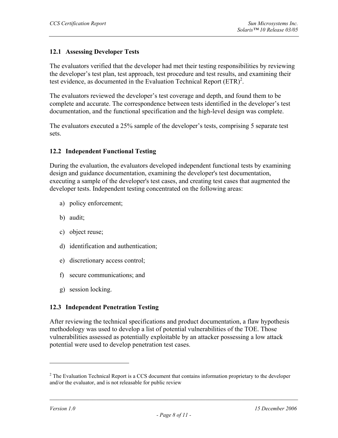#### **12.1 Assessing Developer Tests**

The evaluators verified that the developer had met their testing responsibilities by reviewing the developer's test plan, test approach, test procedure and test results, and examining their test evidence, as documented in the Evaluation Technical Report  $(ETR)^2$ .

The evaluators reviewed the developer's test coverage and depth, and found them to be complete and accurate. The correspondence between tests identified in the developer's test documentation, and the functional specification and the high-level design was complete.

The evaluators executed a 25% sample of the developer's tests, comprising 5 separate test sets.

#### **12.2 Independent Functional Testing**

During the evaluation, the evaluators developed independent functional tests by examining design and guidance documentation, examining the developer's test documentation, executing a sample of the developer's test cases, and creating test cases that augmented the developer tests. Independent testing concentrated on the following areas:

- a) policy enforcement;
- b) audit;
- c) object reuse;
- d) identification and authentication;
- e) discretionary access control;
- f) secure communications; and
- g) session locking.

#### **12.3 Independent Penetration Testing**

After reviewing the technical specifications and product documentation, a flaw hypothesis methodology was used to develop a list of potential vulnerabilities of the TOE. Those vulnerabilities assessed as potentially exploitable by an attacker possessing a low attack potential were used to develop penetration test cases.

 $\overline{a}$ 

 $2^2$  The Evaluation Technical Report is a CCS document that contains information proprietary to the developer and/or the evaluator, and is not releasable for public review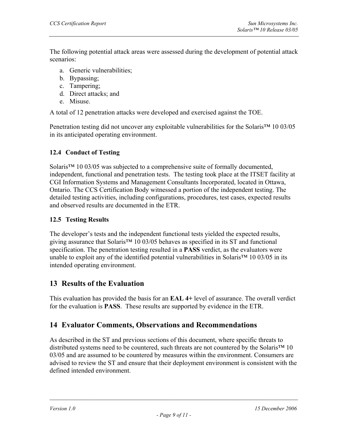The following potential attack areas were assessed during the development of potential attack scenarios:

- a. Generic vulnerabilities;
- b. Bypassing;
- c. Tampering;
- d. Direct attacks; and
- e. Misuse.

A total of 12 penetration attacks were developed and exercised against the TOE.

Penetration testing did not uncover any exploitable vulnerabilities for the Solaris™ 10 03/05 in its anticipated operating environment.

#### **12.4 Conduct of Testing**

Solaris<sup>™</sup> 10 03/05 was subjected to a comprehensive suite of formally documented, independent, functional and penetration tests. The testing took place at the ITSET facility at CGI Information Systems and Management Consultants Incorporated, located in Ottawa, Ontario. The CCS Certification Body witnessed a portion of the independent testing. The detailed testing activities, including configurations, procedures, test cases, expected results and observed results are documented in the ETR.

#### **12.5 Testing Results**

The developer's tests and the independent functional tests yielded the expected results, giving assurance that Solaris™ 10 03/05 behaves as specified in its ST and functional specification. The penetration testing resulted in a **PASS** verdict, as the evaluators were unable to exploit any of the identified potential vulnerabilities in Solaris™ 10 03/05 in its intended operating environment.

## **13 Results of the Evaluation**

This evaluation has provided the basis for an **EAL 4+** level of assurance. The overall verdict for the evaluation is **PASS**. These results are supported by evidence in the ETR.

## **14 Evaluator Comments, Observations and Recommendations**

As described in the ST and previous sections of this document, where specific threats to distributed systems need to be countered, such threats are not countered by the Solaris™ 10 03/05 and are assumed to be countered by measures within the environment. Consumers are advised to review the ST and ensure that their deployment environment is consistent with the defined intended environment.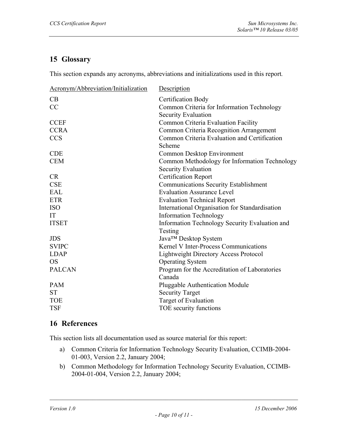# **15 Glossary**

This section expands any acronyms, abbreviations and initializations used in this report*.*

| Acronym/Abbreviation/Initialization | Description                                    |
|-------------------------------------|------------------------------------------------|
| CB                                  | <b>Certification Body</b>                      |
| CC                                  | Common Criteria for Information Technology     |
|                                     | <b>Security Evaluation</b>                     |
| <b>CCEF</b>                         | Common Criteria Evaluation Facility            |
| <b>CCRA</b>                         | Common Criteria Recognition Arrangement        |
| <b>CCS</b>                          | Common Criteria Evaluation and Certification   |
|                                     | Scheme                                         |
| <b>CDE</b>                          | Common Desktop Environment                     |
| <b>CEM</b>                          | Common Methodology for Information Technology  |
|                                     | Security Evaluation                            |
| <b>CR</b>                           | <b>Certification Report</b>                    |
| <b>CSE</b>                          | <b>Communications Security Establishment</b>   |
| EAL                                 | <b>Evaluation Assurance Level</b>              |
| <b>ETR</b>                          | <b>Evaluation Technical Report</b>             |
| <b>ISO</b>                          | International Organisation for Standardisation |
| IT                                  | <b>Information Technology</b>                  |
| <b>ITSET</b>                        | Information Technology Security Evaluation and |
|                                     | Testing                                        |
| <b>JDS</b>                          | Java™ Desktop System                           |
| <b>SVIPC</b>                        | Kernel V Inter-Process Communications          |
| <b>LDAP</b>                         | <b>Lightweight Directory Access Protocol</b>   |
| <b>OS</b>                           | <b>Operating System</b>                        |
| <b>PALCAN</b>                       | Program for the Accreditation of Laboratories  |
|                                     | Canada                                         |
| <b>PAM</b>                          | <b>Pluggable Authentication Module</b>         |
| <b>ST</b>                           | <b>Security Target</b>                         |
| <b>TOE</b>                          | Target of Evaluation                           |
| <b>TSF</b>                          | TOE security functions                         |
|                                     |                                                |

# **16 References**

This section lists all documentation used as source material for this report:

- a) Common Criteria for Information Technology Security Evaluation, CCIMB-2004- 01-003, Version 2.2, January 2004;
- b) Common Methodology for Information Technology Security Evaluation, CCIMB-2004-01-004, Version 2.2, January 2004;